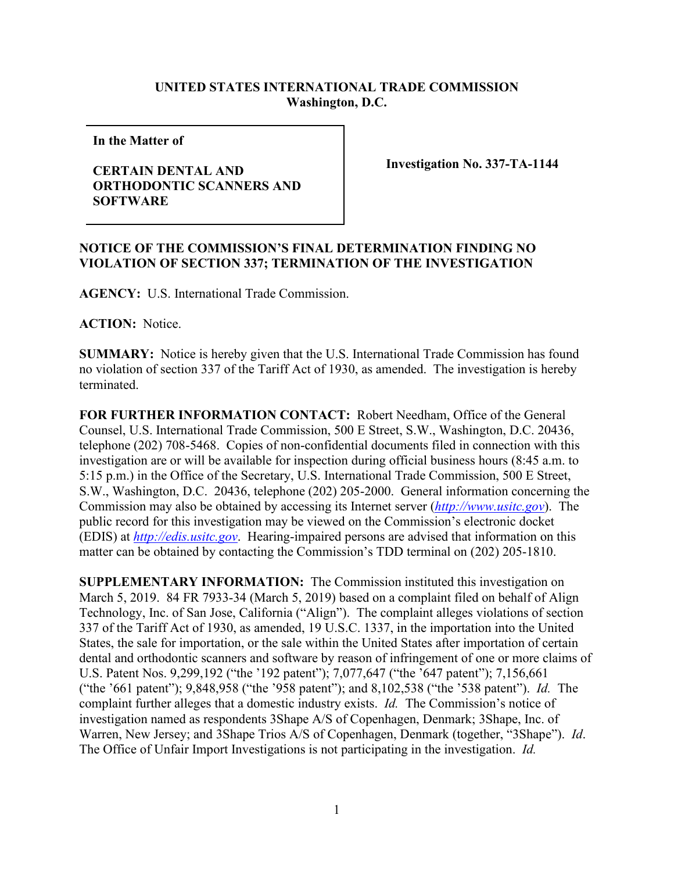## **UNITED STATES INTERNATIONAL TRADE COMMISSION Washington, D.C.**

**In the Matter of** 

## **CERTAIN DENTAL AND ORTHODONTIC SCANNERS AND SOFTWARE**

**Investigation No. 337-TA-1144**

## **NOTICE OF THE COMMISSION'S FINAL DETERMINATION FINDING NO VIOLATION OF SECTION 337; TERMINATION OF THE INVESTIGATION**

**AGENCY:** U.S. International Trade Commission.

**ACTION:** Notice.

**SUMMARY:** Notice is hereby given that the U.S. International Trade Commission has found no violation of section 337 of the Tariff Act of 1930, as amended.The investigation is hereby terminated.

**FOR FURTHER INFORMATION CONTACT:** Robert Needham, Office of the General Counsel, U.S. International Trade Commission, 500 E Street, S.W., Washington, D.C. 20436, telephone (202) 708-5468. Copies of non-confidential documents filed in connection with this investigation are or will be available for inspection during official business hours (8:45 a.m. to 5:15 p.m.) in the Office of the Secretary, U.S. International Trade Commission, 500 E Street, S.W., Washington, D.C. 20436, telephone (202) 205-2000. General information concerning the Commission may also be obtained by accessing its Internet server (*[http://www.usitc.gov](http://www.usitc.gov/)*). The public record for this investigation may be viewed on the Commission's electronic docket (EDIS) at *[http://edis.usitc.gov](http://edis.usitc.gov/)*. Hearing-impaired persons are advised that information on this matter can be obtained by contacting the Commission's TDD terminal on (202) 205-1810.

**SUPPLEMENTARY INFORMATION:** The Commission instituted this investigation on March 5, 2019. 84 FR 7933-34 (March 5, 2019) based on a complaint filed on behalf of Align Technology, Inc. of San Jose, California ("Align"). The complaint alleges violations of section 337 of the Tariff Act of 1930, as amended, 19 U.S.C. 1337, in the importation into the United States, the sale for importation, or the sale within the United States after importation of certain dental and orthodontic scanners and software by reason of infringement of one or more claims of U.S. Patent Nos. 9,299,192 ("the '192 patent"); 7,077,647 ("the '647 patent"); 7,156,661 ("the '661 patent"); 9,848,958 ("the '958 patent"); and 8,102,538 ("the '538 patent"). *Id.* The complaint further alleges that a domestic industry exists. *Id.* The Commission's notice of investigation named as respondents 3Shape A/S of Copenhagen, Denmark; 3Shape, Inc. of Warren, New Jersey; and 3Shape Trios A/S of Copenhagen, Denmark (together, "3Shape"). *Id*. The Office of Unfair Import Investigations is not participating in the investigation. *Id.*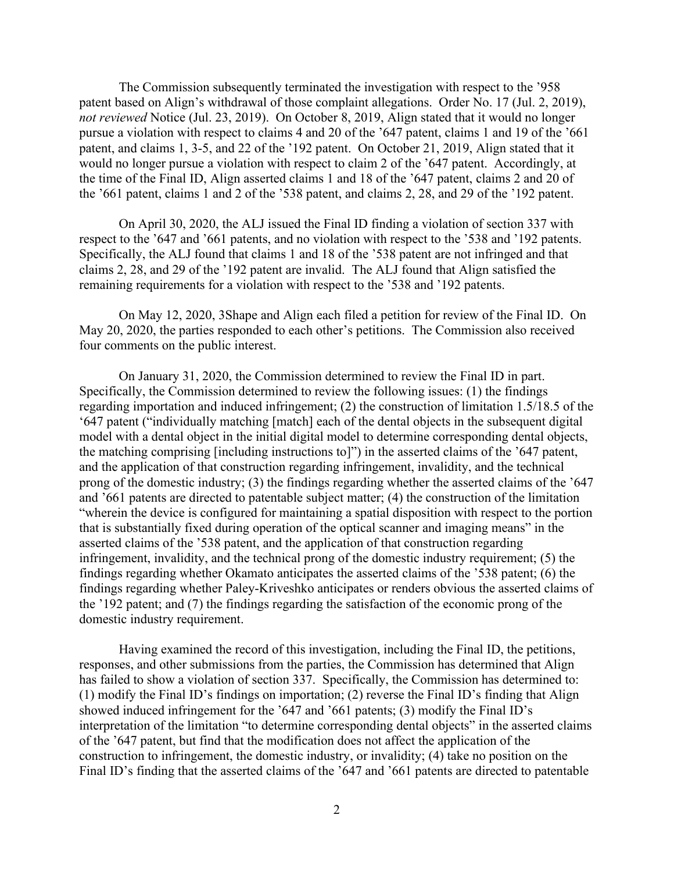The Commission subsequently terminated the investigation with respect to the '958 patent based on Align's withdrawal of those complaint allegations. Order No. 17 (Jul. 2, 2019), *not reviewed* Notice (Jul. 23, 2019). On October 8, 2019, Align stated that it would no longer pursue a violation with respect to claims 4 and 20 of the '647 patent, claims 1 and 19 of the '661 patent, and claims 1, 3-5, and 22 of the '192 patent. On October 21, 2019, Align stated that it would no longer pursue a violation with respect to claim 2 of the '647 patent. Accordingly, at the time of the Final ID, Align asserted claims 1 and 18 of the '647 patent, claims 2 and 20 of the '661 patent, claims 1 and 2 of the '538 patent, and claims 2, 28, and 29 of the '192 patent.

On April 30, 2020, the ALJ issued the Final ID finding a violation of section 337 with respect to the '647 and '661 patents, and no violation with respect to the '538 and '192 patents. Specifically, the ALJ found that claims 1 and 18 of the '538 patent are not infringed and that claims 2, 28, and 29 of the '192 patent are invalid. The ALJ found that Align satisfied the remaining requirements for a violation with respect to the '538 and '192 patents.

On May 12, 2020, 3Shape and Align each filed a petition for review of the Final ID. On May 20, 2020, the parties responded to each other's petitions. The Commission also received four comments on the public interest.

On January 31, 2020, the Commission determined to review the Final ID in part. Specifically, the Commission determined to review the following issues: (1) the findings regarding importation and induced infringement; (2) the construction of limitation 1.5/18.5 of the '647 patent ("individually matching [match] each of the dental objects in the subsequent digital model with a dental object in the initial digital model to determine corresponding dental objects, the matching comprising [including instructions to]") in the asserted claims of the '647 patent, and the application of that construction regarding infringement, invalidity, and the technical prong of the domestic industry; (3) the findings regarding whether the asserted claims of the '647 and '661 patents are directed to patentable subject matter; (4) the construction of the limitation "wherein the device is configured for maintaining a spatial disposition with respect to the portion that is substantially fixed during operation of the optical scanner and imaging means" in the asserted claims of the '538 patent, and the application of that construction regarding infringement, invalidity, and the technical prong of the domestic industry requirement; (5) the findings regarding whether Okamato anticipates the asserted claims of the '538 patent; (6) the findings regarding whether Paley-Kriveshko anticipates or renders obvious the asserted claims of the '192 patent; and (7) the findings regarding the satisfaction of the economic prong of the domestic industry requirement.

Having examined the record of this investigation, including the Final ID, the petitions, responses, and other submissions from the parties, the Commission has determined that Align has failed to show a violation of section 337. Specifically, the Commission has determined to: (1) modify the Final ID's findings on importation; (2) reverse the Final ID's finding that Align showed induced infringement for the '647 and '661 patents; (3) modify the Final ID's interpretation of the limitation "to determine corresponding dental objects" in the asserted claims of the '647 patent, but find that the modification does not affect the application of the construction to infringement, the domestic industry, or invalidity; (4) take no position on the Final ID's finding that the asserted claims of the '647 and '661 patents are directed to patentable